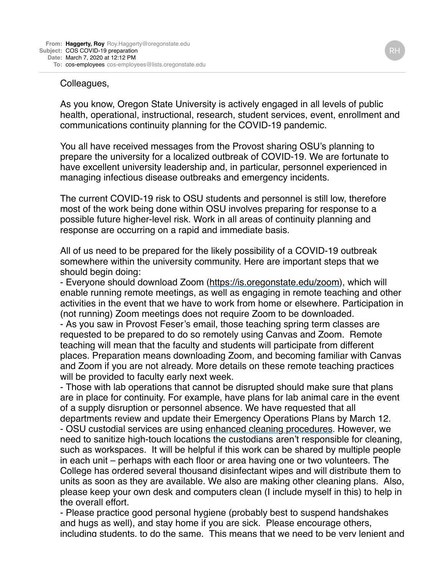## Colleagues,

As you know, Oregon State University is actively engaged in all levels of public health, operational, instructional, research, student services, event, enrollment and communications continuity planning for the COVID-19 pandemic.

You all have received messages from the Provost sharing OSU's planning to prepare the university for a localized outbreak of COVID-19. We are fortunate to have excellent university leadership and, in particular, personnel experienced in managing infectious disease outbreaks and emergency incidents.

The current COVID-19 risk to OSU students and personnel is still low, therefore most of the work being done within OSU involves preparing for response to a possible future higher-level risk. Work in all areas of continuity planning and response are occurring on a rapid and immediate basis.

All of us need to be prepared for the likely possibility of a COVID-19 outbreak somewhere within the university community. Here are important steps that we should begin doing:

- Everyone should download Zoom [\(https://is.oregonstate.edu/zoom](https://is.oregonstate.edu/zoom)), which will enable running remote meetings, as well as engaging in remote teaching and other activities in the event that we have to work from home or elsewhere. Participation in (not running) Zoom meetings does not require Zoom to be downloaded.

- As you saw in Provost Feser's email, those teaching spring term classes are requested to be prepared to do so remotely using Canvas and Zoom. Remote teaching will mean that the faculty and students will participate from different places. Preparation means downloading Zoom, and becoming familiar with Canvas and Zoom if you are not already. More details on these remote teaching practices will be provided to faculty early next week.

- Those with lab operations that cannot be disrupted should make sure that plans are in place for continuity. For example, have plans for lab animal care in the event of a supply disruption or personnel absence. We have requested that all departments review and update their Emergency Operations Plans by March 12. - OSU custodial services are using [enhanced cleaning procedures.](https://ufio.oregonstate.edu/coronavirus-proactive-prevention-program) However, we need to sanitize high-touch locations the custodians aren't responsible for cleaning, such as workspaces. It will be helpful if this work can be shared by multiple people in each unit – perhaps with each floor or area having one or two volunteers. The College has ordered several thousand disinfectant wipes and will distribute them to units as soon as they are available. We also are making other cleaning plans. Also, please keep your own desk and computers clean (I include myself in this) to help in the overall effort.

- Please practice good personal hygiene (probably best to suspend handshakes and hugs as well), and stay home if you are sick. Please encourage others, including students, to do the same. This means that we need to be very lenient and